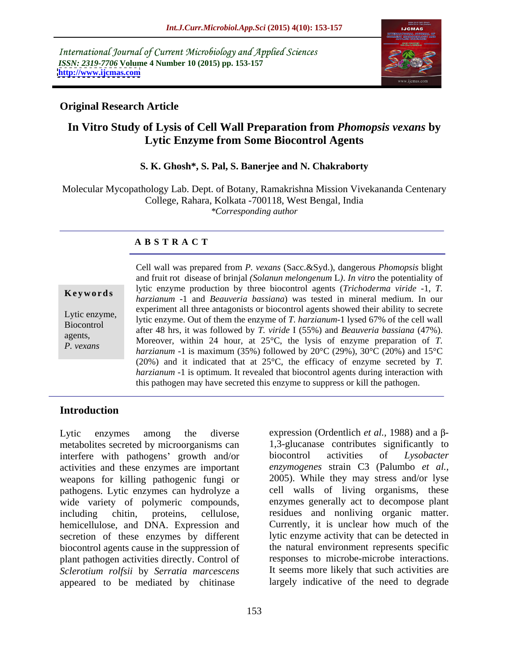International Journal of Current Microbiology and Applied Sciences *ISSN: 2319-7706* **Volume 4 Number 10 (2015) pp. 153-157 <http://www.ijcmas.com>**



# **Original Research Article**

# **In Vitro Study of Lysis of Cell Wall Preparation from** *Phomopsis vexans* **by Lytic Enzyme from Some Biocontrol Agents**

#### **S. K. Ghosh\*, S. Pal, S. Banerjee and N. Chakraborty**

Molecular Mycopathology Lab. Dept. of Botany, Ramakrishna Mission Vivekananda Centenary College, Rahara, Kolkata -700118, West Bengal, India *\*Corresponding author*

#### **A B S T R A C T**

*P. vexans*

Cell wall was prepared from *P. vexans* (Sacc.&Syd.), dangerous *Phomopsis* blight and fruit rot disease of brinjal *(Solanun melongenum* L*)*. *In vitro* the potentiality of lytic enzyme production by three biocontrol agents (*Trichoderma viride* -1, *T.*  **Keywords** *harzianum* -1 and *Beauveria bassiana*) was tested in mineral medium. In our experiment all three antagonists or biocontrol agents showed their ability to secrete Lytic enzyme,<br>
lytic enzyme. Out of them the enzyme of *T. harzianum*-1 lysed 67% of the cell wall<br>
Leocontrol after 48 hrs, it was followed by *T. viride* I (55%) and *Beauveria bassiana* (47%). Biocontrol agents,<br>
Moreover, within 24 hour, at  $25^{\circ}$ C, the lysis of enzyme preparation of *T*. *harzianum* -1 is maximum (35%) followed by 20°C (29%), 30°C (20%) and 15°C (20%) and it indicated that at 25°C, the efficacy of enzyme secreted by *T. harzianum* -1 is optimum. It revealed that biocontrol agents during interaction with this pathogen may have secreted this enzyme to suppress or kill the pathogen.

# **Introduction**

metabolites secreted by microorganisms can interfere with pathogens' growth and/or biocontrol activities of Lysobacter activities and these enzymes are important *enzymogenes* strain C3 (Palumbo *et al.,* weapons for killing pathogenic fungi or pathogens. Lytic enzymes can hydrolyze a wide variety of polymeric compounds, including chitin, proteins, cellulose, residues and nonliving organic matter. hemicellulose, and DNA. Expression and secretion of these enzymes by different biocontrol agents cause in the suppression of plant pathogen activities directly. Control of *Sclerotium rolfsii* by *Serratia marcescens* appeared to be mediated by chitinase

Lytic enzymes among the diverse expression (Ordentlich *et al.*, 1988) and a  $\beta$ -1,3-glucanase contributes significantly to biocontrol activities of *Lysobacter*  2005). While they may stress and/or lyse cell walls of living organisms, these enzymes generally act to decompose plant Currently, it is unclear how much of the lytic enzyme activity that can be detected in the natural environment represents specific responses to microbe-microbe interactions. It seems more likely that such activities are largely indicative of the need to degrade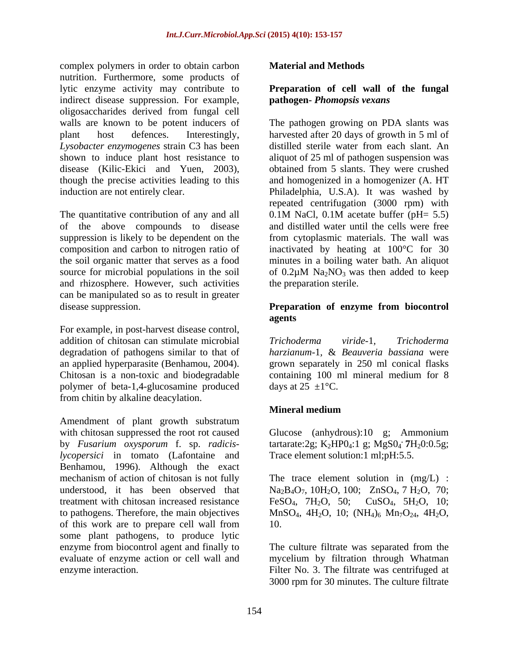complex polymers in order to obtain carbon **Material and Methods** nutrition. Furthermore, some products of lytic enzyme activity may contribute to **Preparation of cell wall of the fungal** indirect disease suppression. For example, oligosaccharides derived from fungal cell

The quantitative contribution of any and all  $\qquad 0.1M$  NaCl, 0.1M acetate buffer (pH= 5.5) of the above compounds to disease source for microbial populations in the soil of  $0.2\mu$ M Na<sub>2</sub>NO<sub>3</sub> was then added to keep and rhizosphere. However, such activities can be manipulated so as to result in greater disease suppression. **Preparation of enzyme from biocontrol** 

For example, in post-harvest disease control, addition of chitosan can stimulate microbial Trichoderma viride-1, Trichoderma degradation of pathogens similar to that of *harzianum-*1*,* & *Beauveria bassiana* were an applied hyperparasite (Benhamou, 2004). grown separately in 250 ml conical flasks Chitosan is a non-toxic and biodegradable containing 100 ml mineral medium for 8 polymer of beta-1,4-glucosamine produced from chitin by alkaline deacylation.

Amendment of plant growth substratum with chitosan suppressed the root rot caused by *Fusarium oxysporum* f. sp. *radicis*- tartarate:2g; K<sub>2</sub>HP0<sub>4</sub>:1 g; MgS0<sub>4</sub> 7H<sub>2</sub>0:0.5g; *lycopersici* in tomato (Lafontaine and Benhamou, 1996). Although the exact mechanism of action of chitosan is not fully The trace element solution in (mg/L) : understood, it has been observed that  $Na<sub>2</sub>B<sub>4</sub>O<sub>7</sub>$ ,  $10H<sub>2</sub>O$ ,  $100$ ;  $ZnSO<sub>4</sub>$ ,  $7H<sub>2</sub>O$ ,  $70$ ; treatment with chitosan increased resistance  $FeSO_4$ ,  $7H_2O$ ,  $50$ ;  $CuSO_4$ ,  $5H_2O$ ,  $10$ ; to pathogens. Therefore, the main objectives MnSO<sub>4</sub>,  $4H_2O$ ,  $10$ ;  $(NH_4)$ <sub>6</sub> Mn<sub>7</sub>O<sub>24</sub>,  $4H_2O$ , of this work are to prepare cell wall from some plant pathogens, to produce lytic enzyme from biocontrol agent and finally to evaluate of enzyme action or cell wall and mycelium by filtration through Whatman

### **Material and Methods**

# **pathogen-** *Phomopsis vexans*

walls are known to be potent inducers of The pathogen growing on PDA slants was plant host defences. Interestingly, harvested after 20 days of growth in 5 ml of *Lysobacter enzymogenes* strain C3 has been distilled sterile water from each slant. An shown to induce plant host resistance to aliquot of 25 ml of pathogen suspension was disease (Kilic-Ekici and Yuen, 2003), obtained from 5 slants. They were crushed though the precise activities leading to this and homogenized in a homogenizer (A.HT induction are not entirely clear. Philadelphia, U.S.A). It was washed by suppression is likely to be dependent on the from cytoplasmic materials. The wall was composition and carbon to nitrogen ratio of inactivated by heating at 100°C for 30 the soil organic matter that serves as a food minutes in a boiling water bath. An aliquot repeated centrifugation (3000 rpm) with 0.1M NaCl, 0.1M acetate buffer (pH= 5.5) and distilled water until the cells were free of  $0.2\mu$ M Na<sub>2</sub>NO<sub>3</sub> was then added to keep the preparation sterile.

# **Preparation of enzyme from biocontrol agents**

*Trichoderma viride-*1*, Trichoderma*  days at  $25 \pm 1$ °C.

### **Mineral medium**

Glucose (anhydrous):10 g; Ammonium  $.7H_20:0.5g$ ; Trace element solution:1 ml;pH:5.5.

MnSO<sub>4</sub>, 4H<sub>2</sub>O, 10; (NH<sub>4</sub>)<sub>6</sub> Mn<sub>7</sub>O<sub>24</sub>, 4H<sub>2</sub>O, 10.

enzyme interaction. Filter No. 3. The filtrate was centrifuged at The culture filtrate was separated from the 3000 rpm for 30 minutes. The culture filtrate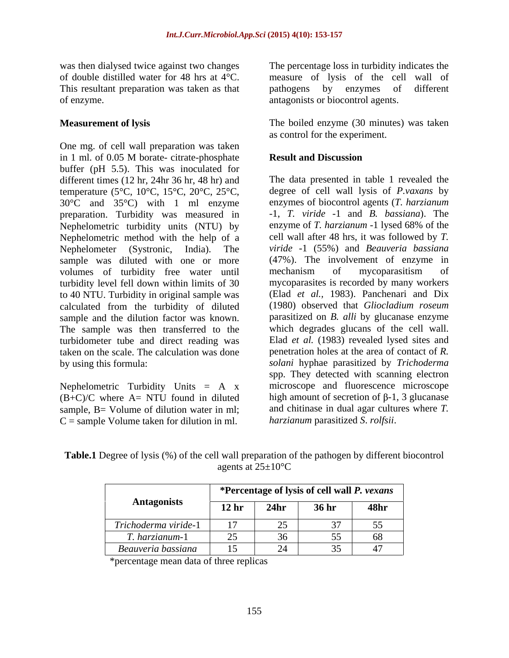This resultant preparation was taken as that bathogens by enzymes of different of enzyme. antagonists or biocontrol agents.

One mg. of cell wall preparation was taken in 1 ml. of 0.05 M borate- citrate-phosphate Result and Discussion buffer (pH 5.5). This was inoculated for different times (12 hr, 24hr 36 hr, 48 hr) and temperature (5°C, 10°C, 15°C, 20°C, 25°C, 30°C and 35°C) with 1 ml enzyme preparation. Turbidity was measured in  $-1$ , *T. viride*  $-1$  and *B. bassiana*). The Nephelometric turbidity units (NTU) by enzyme of *T. harzianum* -1 lysed 68% of the Nephelometric turbidity units (NTU) by Nephelometric method with the help of a Nephelometer (Systronic, India). The *viride -*1 (55%) and *Beauveria bassiana* sample was diluted with one or more volumes of turbidity free water until turbidity level fell down within limits of 30 to 40 NTU. Turbidity in original sample was calculated from the turbidity of diluted (1980) observed that *Gliocladium roseum* sample and the dilution factor was known. The sample was then transferred to the turbidometer tube and direct reading was taken on the scale. The calculation was done

Nephelometric Turbidity Units  $= A x$  $(B+C)/C$  where  $A=NTU$  found in diluted sample, B = Volume of dilution water in ml;  $C =$  sample Volume taken for dilution in ml.

was then dialysed twice against two changes The percentage loss in turbidity indicates the of double distilled water for 48 hrs at 4°C. measure of lysis of the cell wall of pathogens by enzymes of different

**Measurement of lysis** The boiled enzyme (30 minutes) was taken as control for the experiment.

### **Result and Discussion**

by using this formula: *solani* hyphae parasitized by *Trichoderma*  The data presented in table 1 revealed the degree of cell wall lysis of *P.vaxans* by enzymes of biocontrol agents (*T. harzianum* -1, *T. viride* -1 and *B. bassiana*). The enzyme of *T. harzianum* -1 lysed 68% of the cell wall after 48 hrs, it was followed by *T.*  (47%). The involvement of enzyme in mechanism of mycoparasitism of mycoparasites is recorded by many workers (Elad *et al.,* 1983). Panchenari and Dix parasitized on *B. alli* by glucanase enzyme which degrades glucans of the cell wall. Elad *et al.* (1983) revealed lysed sites and penetration holes at the area of contact of *R.*  spp. They detected with scanning electron microscope and fluorescence microscope high amount of secretion of  $\beta$ -1, 3 glucanase and chitinase in dual agar cultures where *T. harzianum* parasitized *S*. *rolfsii*.

**Table.1** Degree of lysis (%) of the cell wall preparation of the pathogen by different biocontrol agents at  $25\pm10^{\circ}\text{C}$ 

|                      |                                | *Percentage of lysis of cell wall P. vexans |               |                  |
|----------------------|--------------------------------|---------------------------------------------|---------------|------------------|
| <b>Antagonists</b>   | 12 <sub>hr</sub>               | 24 <sub>hr</sub>                            | 36 hr         | <b>48hr</b>      |
| Trichoderma viride-1 |                                |                                             |               |                  |
| harzianum-1          | $\bigcap_{k=1}^{\infty}$<br>رے |                                             |               | - -<br><b>UO</b> |
| Beauveria bassiana   | . .                            |                                             | $\sim$ $\sim$ |                  |

\*percentage mean data of three replicas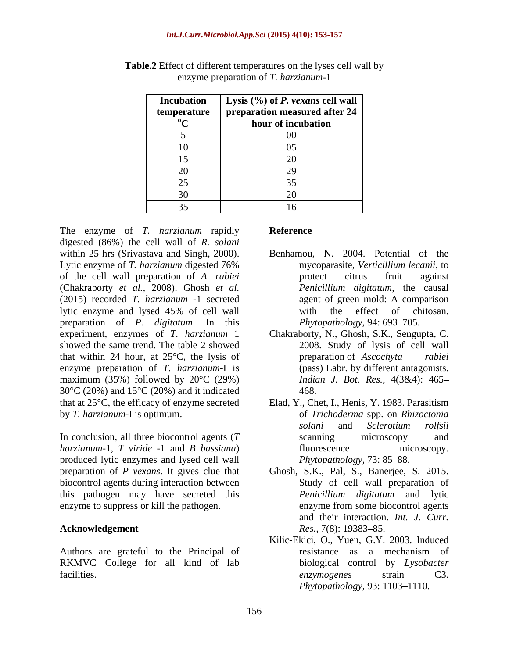|              | <b>Incubation</b>   Lysis $(\sqrt{6})$ of <i>P. vexans</i> cell wall |
|--------------|----------------------------------------------------------------------|
| temperature  | $\vert$ preparation measured after 24 $\vert$                        |
| $\mathbf{u}$ | hour of incubation                                                   |
|              | ( )(                                                                 |
|              |                                                                      |
|              |                                                                      |
| 20           |                                                                      |
| $\Omega$     |                                                                      |
| 30           |                                                                      |
|              |                                                                      |

**Table.2** Effect of different temperatures on the lyses cell wall by enzyme preparation of *T. harzianum*-1

The enzyme of *T. harzianum* rapidly digested (86%) the cell wall of *R. solani* within 25 hrs (Srivastava and Singh, 2000). Lytic enzyme of *T. harzianum* digested 76% of the cell wall preparation of *A. rabiei* (Chakraborty *et al.,* 2008). Ghosh *et al.* (2015) recorded *T. harzianum* -1 secreted lytic enzyme and lysed 45% of cell wall preparation of *P. digitatum*. In this showed the same trend. The table 2 showed that within 24 hour, at 25<sup>o</sup>C, the lysis of preparation of Ascochyta rabiei enzyme preparation of *T. harzianum*-I is maximum (35%) followed by  $20^{\circ}$ C (29%) 30°C (20%) and 15°C (20%) and it indicated that at 25°C, the efficacy of enzyme secreted Elad, Y., Chet, I., Henis, Y. 1983. Parasitism

In conclusion, all three biocontrol agents (*T harzianum*-1, *T viride* -1 and *B bassiana*) produced lytic enzymes and lysed cell wall biocontrol agents during interaction between this pathogen may have secreted this *Penicillium digitatum* and lytic enzyme to suppress or kill the pathogen. enzyme from some biocontrol agents

Authors are grateful to the Principal of resistance as a mechanism of RKMVC College for all kind of lab facilities. C3.

# **Reference**

- Benhamou, N. 2004. Potential of the mycoparasite, *Verticillium lecanii*, to protect citrus fruit against *Penicillium digitatum*, the causal agent of green mold: A comparison with the effect of chitosan. *Phytopathology, 94: 693-705.*
- experiment, enzymes of *T. harzianum* 1 Chakraborty, N., Ghosh, S.K., Sengupta, C. 2008. Study of lysis of cell wall preparation of *Ascochyta rabiei* (pass) Labr. by different antagonists. *Indian J. Bot. Res.,* 4(3&4): 465 468.
- by *T. harzianum*-I is optimum. of *Trichoderma* spp. on *Rhizoctonia solani* and *Sclerotium rolfsii* scanning microscopy and fluorescence microscopy. *Phytopathology, 73: 85-88.*
- preparation of *P vexans*. It gives clue that Ghosh, S.K., Pal, S., Banerjee, S. 2015. **Acknowledgement** Res., 7(8): 19383–85. Study of cell wall preparation of *Penicillium digitatum* and lytic enzyme from some biocontrol agents and their interaction. *Int. J. Curr. Res.,* 7(8): 19383–85.
	- Kilic-Ekici, O., Yuen, G.Y. 2003. Induced resistance as a mechanism of biological control by *Lysobacter enzymogenes* strain C3. *Phytopathology*, 93: 1103-1110.